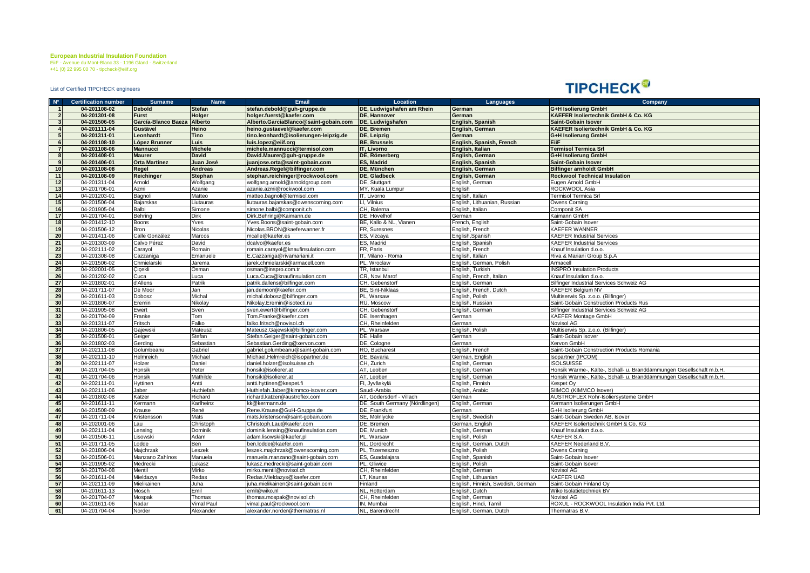**European Industrial Insulation Foundation**

EiiF - Avenue du Mont-Blanc 33 - 1196 Gland - Switzerland +41 (0) 22 995 00 70 - tipcheck@eiif.org

List of Certified TIPCHECK engineers

## **TIPCHECK®**

| $N^{\circ}$             | <b>Certification number</b> | <b>Surname</b>              | Name           | Email                                  | Location                       | Languages                         | Company                                                              |
|-------------------------|-----------------------------|-----------------------------|----------------|----------------------------------------|--------------------------------|-----------------------------------|----------------------------------------------------------------------|
| $\overline{1}$          | 04-201108-02                | <b>Debold</b>               | <b>Stefan</b>  | stefan.debold@guh-gruppe.de            | DE, Ludwigshafen am Rhein      | German                            | G+H Isolierung GmbH                                                  |
| $\overline{2}$          | 04-201301-08                | <b>Fürst</b>                | Holger         | holger.fuerst@kaefer.com               | <b>DE, Hannover</b>            | German                            | KAEFER Isoliertechnik GmbH & Co. KG                                  |
| 3                       | 04-201506-05                | García-Blanco Baeza Alberto |                | Alberto.GarciaBlanco@saint-gobain.com  | DE, Ludwigshafen               | English, Spanish                  | Saint-Gobain Isover                                                  |
| $\overline{4}$          | 04-201111-04                | Gustävel                    | Heino          | heino.gustaevel@kaefer.com             | DE, Bremen                     | English, German                   | KAEFER Isoliertechnik GmbH & Co. KG                                  |
| 5                       | 04-201311-01                | Leonhardt                   | <b>Tino</b>    | tino.leonhardt@isolierungen-leipzig.de | DE, Leipzig                    | German                            | G+H Isolierung GmbH                                                  |
| 6                       | 04-201108-10                | López Brunner               | Luis           | uis.lopez@eiif.org                     | <b>BE, Brussels</b>            | English, Spanish, French          | EiiF                                                                 |
| $\overline{7}$          | 04-201108-06                | <b>Mannucci</b>             | <b>Michele</b> | michele.mannucci@termisol.com          | IT, Livorno                    | English, Italian                  | <b>Termisol Termica Srl</b>                                          |
| $\overline{\mathbf{8}}$ | 04-201408-01                | <b>Maurer</b>               | <b>David</b>   | David.Maurer@guh-gruppe.de             | DE, Römerberg                  | English, German                   | G+H Isolierung GmbH                                                  |
| 9                       | 04-201406-01                | <b>Orta Martínez</b>        | Juan José      | juanjose.orta@saint-gobain.com         | <b>ES. Madrid</b>              | English, Spanish                  | <b>Saint-Gobain Isover</b>                                           |
| 10                      | 04-201108-08                | Regel                       | <b>Andreas</b> | Andreas.Regel@bilfinger.com            | DE, München                    | English, German                   | <b>Bilfinger arnholdt GmbH</b>                                       |
| 11                      | 04-201108-09                | Reichinger                  | Stephan        | stephan.reichinger@rockwool.com        | DE, Gladbeck                   | English, German                   | <b>Rockwool Technical Insulation</b>                                 |
| 12                      | 04-201311-04                | Arnold                      | Wolfgang       | wolfgang.arnold@arnoldgroup.com        | DE, Stuttgart                  | English, German                   | Eugen Arnold GmbH                                                    |
| 13                      | 04-201706-01                | Azmi                        | Azanie         | azanie.azmi@rockwool.com               | MY, Kuala Lumpur               | English                           | ROCKWOOL Asia                                                        |
| 14                      | 04-201203-01                | Bagnoli                     | Matteo         | matteo.bagnoli@termisol.com            | IT, Livorno                    | English, Italian                  | <b>Termisol Termica Srl</b>                                          |
| 15                      | 04-201506-04                | Bajarskas                   | iutauras       | utauras.bajarskas@owenscorning.com     | LI. Vilnius                    | English, Lithuanian, Russian      | Owens Corning                                                        |
| 16                      | 04-201905-04                | Balbi                       | Simone         | imone.balbi@componit.ch                | CH, Balerna                    | English, Italian                  | Componit SA                                                          |
| 17                      | 04-201704-01                | Behring                     | Dirk           | Dirk.Behring@Kaimann.de                | DE, Hövelhof                   | German                            | Kaimann GmbH                                                         |
| 18                      | 04-201412-10                | Boons                       | Yves           | Yves.Boons@saint-gobain.com            | BE, Kallo & NL, Vianen         | French, English                   | Saint-Gobain Isover                                                  |
| 19                      | 04-201506-12                | Bron                        | Nicolas        | Vicolas.BRON@kaeferwanner.fr           | FR, Suresnes                   | English, French                   | KAEFER WANNER                                                        |
| 20                      | 04-201411-06                | Calle González              | Marcos         | ncalle@kaefer.es                       | ES, Vizcaya                    | English, Spanish                  | <b>KAEFER Industrial Services</b>                                    |
| 21                      | 04-201303-09                | Calvo Pérez                 | David          | dcalvo@kaefer.es                       | ES, Madrid                     | English, Spanish                  | <b>KAEFER Industrial Services</b>                                    |
| 22                      | 04-202111-02                | Carayol                     | Romain         | romain.carayol@knaufinsulation.com     | FR, Paris                      | English, French                   | Knauf Insulation d.o.o.                                              |
| 23                      | 04-201308-08                | Cazzaniga                   | Emanuele       | : Cazzaniga@rivamariani.it             | IT. Milano - Roma              | English, Italian                  | Riva & Mariani Group S.p.A                                           |
| 24                      | 04-201506-02                | Chmielarski                 | Jarema         | arek.chmielarski@armacell.com          | PL, Wroclaw                    | English, German, Polish           | Armacell                                                             |
| 25                      | 04-202001-05                | Cicekli                     | Osman          | osman@inspro.com.tr                    | TR. Istanbul                   | English, Turkish                  | <b>NSPRO Insulation Products</b>                                     |
| $\overline{26}$         | 04-201202-02                | Cuca                        | Luca           | .uca.Cuca@knaufinsulation.com          | CR, Novi Marof                 | English, French, Italian          | Knauf Insulation d.o.o.                                              |
| 27                      | 04-201802-01                | d'Allens                    | Patrik         | patrik.dallens@bilfinger.com           | CH, Gebenstorf                 | English, German                   | Bilfinger Industrial Services Schweiz AG                             |
| 28                      | 04-201711-07                | De Moor                     | Jan            | an.demoor@kaefer.com                   | <b>BE, Sint-Niklaas</b>        | English, French, Dutch            | <b>KAEFER Belgium NV</b>                                             |
| 29                      | 04-201611-03                | Dobosz                      | Michal         | nichal.dobosz@bilfinger.com            | PL, Warsaw                     | English, Polish                   | Multiserwis Sp. z.o.o. (Bilfinger)                                   |
| 30                      | 04-201806-07                | Eremin                      | Nikolay        | Vikolay.Eremin@isotecti.ru             | RU, Moscow                     | English, Russian                  | Saint-Gobain Construction Products Rus                               |
| 31                      | 04-201905-08                | Ewert                       | Sven           | sven.ewert@bilfinger.com               | CH, Gebenstorf                 | English, German                   | Bilfinger Industrial Services Schweiz AG                             |
| 32                      | 04-201704-09                | Franke                      | Tom            | Tom.Franke@kaefer.com                  | DE, Isernhagen                 | German                            | KAEFER Montage GmbH                                                  |
| 33                      | 04-201311-07                | Fritsch                     | Falko          | alko.fritsch@novisol.ch                | CH, Rheinfelden                | German                            | Novisol AG                                                           |
| 34                      | 04-201806-05                | Gajewski                    | Mateusz        | Mateusz.Gajewski@bilfinger.com         | PL, Warsaw                     | English, Polish                   | Multiserwis Sp. z.o.o. (Bilfinger)                                   |
|                         | 04-201508-01                | Geiger                      | Stefan         | Stefan.Geiger@saint-gobain.com         | DE, Halle                      | German                            | Saint-Gobain isover                                                  |
| $\frac{35}{36}$         | 04-201802-03                | Gerding                     | Sebastian      | Sebastian.Gerding@xervon.com           | DE, Cologne                    | German                            | Xervon GmbH                                                          |
| 37                      | 04-202111-08                | Golumbeanu                  | Gabriel        | gabriel.golumbeanu@saint-gobain.com    | RO, Bucharest                  | English, French                   | Saint-Gobain Construction Products Romania                           |
| 38                      | 04-202111-10                | Helmreich                   | Michael        | Michael.Helmreich@isopartner.de        | DE, Bavaria                    | German, English                   | sopartner (IPCOM)                                                    |
| 39                      | 04-202111-07                | Holzer                      | Daniel         | daniel.holzer@isolsuisse.ch            | CH. Zurich                     | English, German                   | <b>SOLSUISSE</b>                                                     |
| 40                      | 04-201704-05                | <b>Honsik</b>               | Peter          | nonsik@isolierer.at                    | AT, Leoben                     | English, German                   | Honsik Wärme-, Kälte-, Schall- u. Branddämmungen Gesellschaft m.b.H. |
| 41                      | 04-201704-06                | Honsik                      | Mathilde       | nonsik@isolierer.at                    | AT. Leoben                     | English, German                   | Honsik Wärme-, Kälte-, Schall- u. Branddämmungen Gesellschaft m.b.H. |
| 42                      | 04-202111-01                | Hyttinen                    | Antti          | antti.hyttinen@kespet.fi               | FI, Jyväskylä                  | English, Finnish                  | Kespet Oy                                                            |
| 43                      | 04-202111-06                | Jaber                       | Huthiefah      | luthiefah.Jaber@kimmco-isover.com      | Saudi-Arabia                   | English, Arabic                   | SIIMCO (KIMMCO Isover)                                               |
| 44                      | 04-201802-08                | Katzer                      | Richard        | ichard.katzer@austroflex.com           | AT. Gödersdorf - Villach       | German                            | AUSTROFLEX Rohr-Isoliersysteme GmbH                                  |
| 45                      | 04-201611-11                | Kermann                     | Karlheinz      | k@kermann.de                           | DE, South Germany (Nördlingen) | English, German                   | Kermann Isolierungen GmbH                                            |
| 46                      | 04-201508-09                | Krause                      | René           | Rene.Krause@GuH-Gruppe.de              | DE. Frankfurt                  | German                            | G+H Isolierung GmbH                                                  |
| 47                      | 04-201711-04                | Kristensson                 | Mats           | nats.kristenson@saint-gobain.com       | SE, Mölnlycke                  | English, Swedish                  | Saint-Gobain Sweden AB, Isover                                       |
| 48                      | 04-202001-06                | Lau                         | Christoph      | Christoph.Lau@kaefer.com               | DE, Bremen                     | German, English                   | KAEFER Isoliertechnik GmbH & Co. KG                                  |
| 49                      | 04-202111-04                | Lensing                     | Dominik        | dominik.lensing@knaufinsulation.com    | DE. Munich                     | English, German                   | Knauf Insulation d.o.o.                                              |
| 50                      | 04-201506-11                | _isowski                    | Adam           | adam.lisowski@kaefer.pl                | PL, Warsaw                     | English, Polish                   | KAEFER S.A.                                                          |
| 51                      | 04-201711-05                | Lodde                       | Ben            | oen.lodde@kaefer.com                   | NL. Dordrecht                  | English, German. Dutch            | KAEFER Nederland B.V.                                                |
| 52                      | 04-201806-04                | Majchrzak                   | Leszek         | eszek.majchrzak@owenscorning.com       | PL, Trzemeszno                 | English, Polish                   | Owens Corning                                                        |
| 53                      | 04-201506-01                | Manzano Zahínos             | Manuela        | manuela.manzano@saint-gobain.com       | ES, Guadalajara                | English, Spanish                  | Saint-Gobain Isover                                                  |
| 54                      | 04-201905-02                | Medrecki                    | Lukasz         | ukasz.medrecki@saint-gobain.com        | PL, Gliwice                    | English, Polish                   | Saint-Gobain Isover                                                  |
| 55                      | 04-201704-08                | Mentil                      | Mirko          | nirko.mentil@novisol.ch                | CH, Rheinfelden                | English, German                   | Novisol AG                                                           |
| 56                      | 04-201611-04                | Mieldazys                   | Redas          | Redas.Mieldazys@kaefer.com             | LT, Kaunas                     | English, Lithuanian               | <b>KAEFER UAB</b>                                                    |
| 57                      | 04-202111-09                | Mielikäinen                 | Juha           | uha.mielikainen@saint-gobain.com       | Finland                        | English, Finnish, Swedish, German | Saint-Gobain Finland Ov                                              |
| 58                      | 04-201611-13                | Mosch                       | Emil           | emil@wiko.nl                           | NL, Rotterdam                  | English, Dutch                    | Wiko Isolatietechniek BV                                             |
| 59                      | 04-201704-07                | Mospak                      | Thomas         | homas.mospak@novisol.ch                | CH, Rheinfelden                | English, German                   | Novisol AG                                                           |
| 60                      | 04-201611-06                | Nadar                       | /imal Paul     | /imal.paul@rockwool.com                | IN. Mumbai                     | English, Hindi, Tamil             | ROXUL - ROCKWOOL Insulation India Pvt. Ltd.                          |
| 61                      | 04-201704-04                | Norder                      | Alexander      | alexander.norder@thermatras.nl         | NL, Barendrecht                | English, German, Dutch            | Thermatras B.V.                                                      |
|                         |                             |                             |                |                                        |                                |                                   |                                                                      |